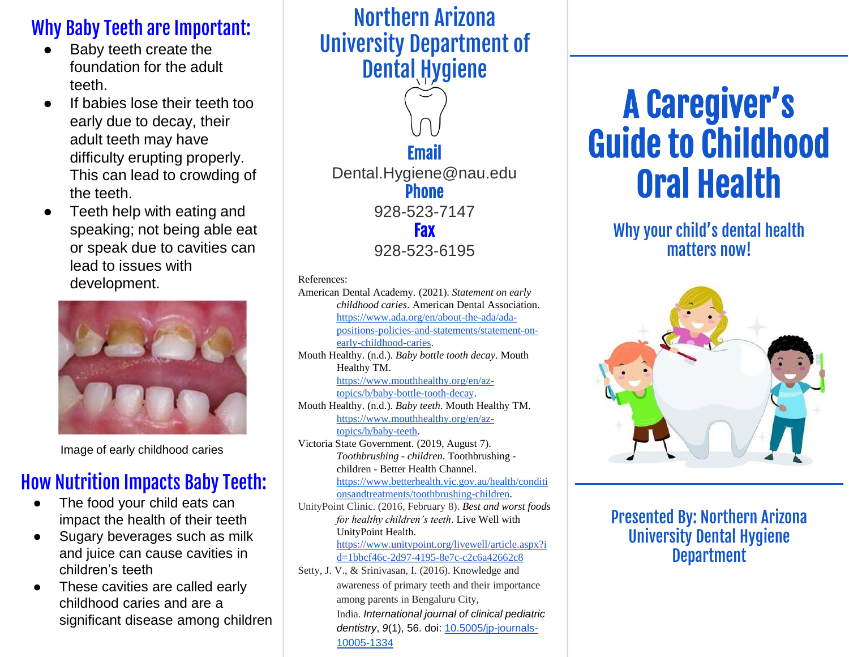### Why Baby Teeth are Important:

- Baby teeth create the foundation for the adult teeth.
- If babies lose their teeth too early due to decay, their adult teeth may have difficulty erupting properly. This can lead to crowding of the teeth.
- Teeth help with eating and speaking; not being able eat or speak due to cavities can lead to issues with development.



Image of early childhood caries

### How Nutrition Impacts Baby Teeth:

- The food your child eats can impact the health of their teeth
- Sugary beverages such as milk and juice can cause cavities in children's teeth
- These cavities are called early childhood caries and are a significant disease among children

### Northern Arizona University Department of Dental Hygiene



#### References:

American Dental Academy. (2021). *Statement on early childhood caries*. American Dental Association. https://www.ada.org/en/about-the-ada/ada[positions-policies-and-statements/statement-on](https://www.ada.org/en/about-the-ada/ada-positions-policies-and-statements/statement-on-early-childhood-caries)early-childhood-caries. Mouth Healthy. (n.d.). *Baby bottle tooth decay*. Mouth Healthy TM. [https://www.mouthhealthy.org/en/az](https://www.mouthhealthy.org/en/az-topics/b/baby-bottle-tooth-decay)topics/b/baby-bottle-tooth-decay. Mouth Healthy. (n.d.). *Baby teeth*. Mouth Healthy TM. [https://www.mouthhealthy.org/en/az](https://www.mouthhealthy.org/en/az-topics/b/baby-teeth)topics/b/baby-teeth. Victoria State Government. (2019, August 7). *Toothbrushing - children*. Toothbrushing children - Better Health Channel. [https://www.betterhealth.vic.gov.au/health/conditi](https://www.betterhealth.vic.gov.au/health/conditionsandtreatments/toothbrushing-children) onsandtreatments/toothbrushing-children. UnityPoint Clinic. (2016, February 8). *Best and worst foods* 

*for healthy children's teeth*. Live Well with UnityPoint Health. [https://www.unitypoint.org/livewell/article.aspx?i](https://www.unitypoint.org/livewell/article.aspx?id=1bbcf46c-2d97-4195-8e7c-c2c6a42662c8) d=1bbcf46c-2d97-4195-8e7c-c2c6a42662c8

Setty, J. V., & Srinivasan, I. (2016). Knowledge and awareness of primary teeth and their importance among parents in Bengaluru City, India. *International journal of clinical pediatric dentistry*, *9*(1), 56. doi: [10.5005/jp-journals-](https://dx.doi.org/10.5005%2Fjp-journals-10005-1334)10005-1334

# A Caregiver's Guide to Childhood Oral Health

#### Why your child's dental health matters now!



#### Presented By: Northern Arizona University Dental Hygiene **Department**